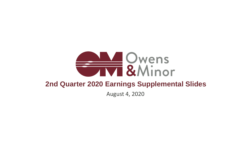

## **ALL Owens**<br>TIVE & Minor **2nd Quarter 2020 Earnings Supplemental Slides** August 4, 2020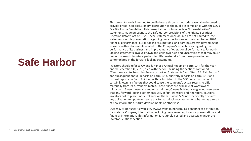This presentation is intended to be disclosure through methods reasonably designed to provide broad, non-exclusionary distribution to the public in compliance with the SEC's Fair Disclosure Regulation. This presentation contains certain ''forward-looking'' statements made pursuant to the Safe Harbor provisions of the Private Securities Litigation Reform Act of 1995. These statements include, but are not limited to, the statements in this presentation regarding our expectations with respect to our 2020 financial performance, our modeling assumptions, and earnings growth beyond 2020, as well as other statements related to the Company's expectations regarding the performance of its business and improvement of operational performance. Forwardlooking statements involve known and unknown risks and uncertainties that may cause our actual results in future periods to differ materially from those projected or contemplated in the forward-looking statements.

Investors should refer to Owens & Minor's Annual Report on Form 10-K for the year ended December 31, 2019, filed with the SEC including the sections captioned "Cautionary Note Regarding Forward-Looking Statements" and "Item 1A. Risk Factors," and subsequent annual reports on Form 10-K, quarterly reports on Form 10-Q and current reports on Form 8-K filed with or furnished to the SEC, for a discussion of certain known risk factors that could cause the company's actual results to differ materially from its current estimates. These filings are available at www.owensminor.com. Given these risks and uncertainties, Owens & Minor can give no assurance that any forward-looking statements will, in fact, transpire and, therefore, cautions investors not to place undue reliance on them. Owens & Minor specifically disclaims any obligation to update or revise any forward-looking statements, whether as a result of new information, future developments or otherwise.

Owens & Minor uses its web site, www.owens-minor.com, as a channel of distribution for material Company information, including news releases, investor presentations and financial information. This information is routinely posted and accessible under the Investor Relations section.



## **Safe Harbor**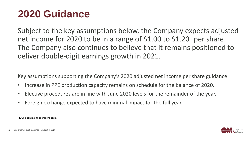



Subject to the key assumptions below, the Company expects adjusted net income for 2020 to be in a range of \$1.00 to \$1.20 <sup>1</sup> per share. The Company also continues to believe that it remains positioned to deliver double-digit earnings growth in 2021.

Key assumptions supporting the Company's 2020 adjusted net income per share guidance:

- Increase in PPE production capacity remains on schedule for the balance of 2020.
- Elective procedures are in line with June 2020 levels for the remainder of the year.
- Foreign exchange expected to have minimal impact for the full year.

1. On a continuing operations basis.

## **2020 Guidance**